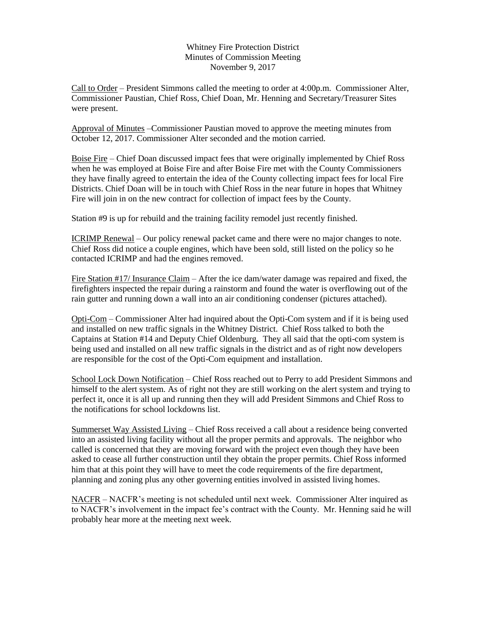## Whitney Fire Protection District Minutes of Commission Meeting November 9, 2017

Call to Order – President Simmons called the meeting to order at 4:00p.m. Commissioner Alter, Commissioner Paustian, Chief Ross, Chief Doan, Mr. Henning and Secretary/Treasurer Sites were present.

Approval of Minutes –Commissioner Paustian moved to approve the meeting minutes from October 12, 2017. Commissioner Alter seconded and the motion carried.

Boise Fire – Chief Doan discussed impact fees that were originally implemented by Chief Ross when he was employed at Boise Fire and after Boise Fire met with the County Commissioners they have finally agreed to entertain the idea of the County collecting impact fees for local Fire Districts. Chief Doan will be in touch with Chief Ross in the near future in hopes that Whitney Fire will join in on the new contract for collection of impact fees by the County.

Station #9 is up for rebuild and the training facility remodel just recently finished.

ICRIMP Renewal – Our policy renewal packet came and there were no major changes to note. Chief Ross did notice a couple engines, which have been sold, still listed on the policy so he contacted ICRIMP and had the engines removed.

Fire Station #17/ Insurance Claim – After the ice dam/water damage was repaired and fixed, the firefighters inspected the repair during a rainstorm and found the water is overflowing out of the rain gutter and running down a wall into an air conditioning condenser (pictures attached).

Opti-Com – Commissioner Alter had inquired about the Opti-Com system and if it is being used and installed on new traffic signals in the Whitney District. Chief Ross talked to both the Captains at Station #14 and Deputy Chief Oldenburg. They all said that the opti-com system is being used and installed on all new traffic signals in the district and as of right now developers are responsible for the cost of the Opti-Com equipment and installation.

School Lock Down Notification – Chief Ross reached out to Perry to add President Simmons and himself to the alert system. As of right not they are still working on the alert system and trying to perfect it, once it is all up and running then they will add President Simmons and Chief Ross to the notifications for school lockdowns list.

Summerset Way Assisted Living – Chief Ross received a call about a residence being converted into an assisted living facility without all the proper permits and approvals. The neighbor who called is concerned that they are moving forward with the project even though they have been asked to cease all further construction until they obtain the proper permits. Chief Ross informed him that at this point they will have to meet the code requirements of the fire department, planning and zoning plus any other governing entities involved in assisted living homes.

NACFR – NACFR's meeting is not scheduled until next week. Commissioner Alter inquired as to NACFR's involvement in the impact fee's contract with the County. Mr. Henning said he will probably hear more at the meeting next week.